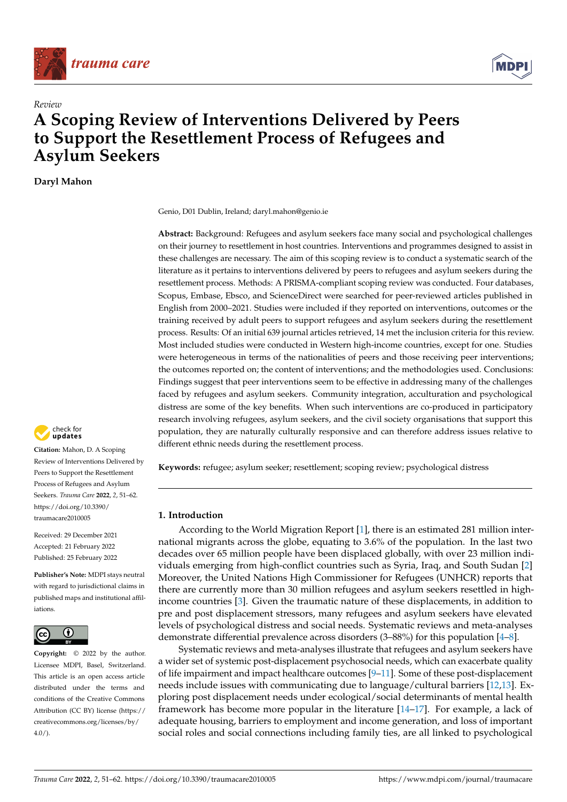



# *Review* **A Scoping Review of Interventions Delivered by Peers to Support the Resettlement Process of Refugees and Asylum Seekers**

**Daryl Mahon**



**Abstract:** Background: Refugees and asylum seekers face many social and psychological challenges on their journey to resettlement in host countries. Interventions and programmes designed to assist in these challenges are necessary. The aim of this scoping review is to conduct a systematic search of the literature as it pertains to interventions delivered by peers to refugees and asylum seekers during the resettlement process. Methods: A PRISMA-compliant scoping review was conducted. Four databases, Scopus, Embase, Ebsco, and ScienceDirect were searched for peer-reviewed articles published in English from 2000–2021. Studies were included if they reported on interventions, outcomes or the training received by adult peers to support refugees and asylum seekers during the resettlement process. Results: Of an initial 639 journal articles retrieved, 14 met the inclusion criteria for this review. Most included studies were conducted in Western high-income countries, except for one. Studies were heterogeneous in terms of the nationalities of peers and those receiving peer interventions; the outcomes reported on; the content of interventions; and the methodologies used. Conclusions: Findings suggest that peer interventions seem to be effective in addressing many of the challenges faced by refugees and asylum seekers. Community integration, acculturation and psychological distress are some of the key benefits. When such interventions are co-produced in participatory research involving refugees, asylum seekers, and the civil society organisations that support this population, they are naturally culturally responsive and can therefore address issues relative to different ethnic needs during the resettlement process.

**Keywords:** refugee; asylum seeker; resettlement; scoping review; psychological distress

## **1. Introduction**

According to the World Migration Report [\[1\]](#page-9-0), there is an estimated 281 million international migrants across the globe, equating to 3.6% of the population. In the last two decades over 65 million people have been displaced globally, with over 23 million individuals emerging from high-conflict countries such as Syria, Iraq, and South Sudan [\[2\]](#page-9-1) Moreover, the United Nations High Commissioner for Refugees (UNHCR) reports that there are currently more than 30 million refugees and asylum seekers resettled in highincome countries [\[3\]](#page-9-2). Given the traumatic nature of these displacements, in addition to pre and post displacement stressors, many refugees and asylum seekers have elevated levels of psychological distress and social needs. Systematic reviews and meta-analyses demonstrate differential prevalence across disorders (3–88%) for this population [\[4–](#page-9-3)[8\]](#page-9-4).

Systematic reviews and meta-analyses illustrate that refugees and asylum seekers have a wider set of systemic post-displacement psychosocial needs, which can exacerbate quality of life impairment and impact healthcare outcomes  $[9-11]$  $[9-11]$ . Some of these post-displacement needs include issues with communicating due to language/cultural barriers [\[12](#page-10-1)[,13\]](#page-10-2). Exploring post displacement needs under ecological/social determinants of mental health framework has become more popular in the literature [\[14](#page-10-3)[–17\]](#page-10-4). For example, a lack of adequate housing, barriers to employment and income generation, and loss of important social roles and social connections including family ties, are all linked to psychological



**Citation:** Mahon, D. A Scoping Review of Interventions Delivered by Peers to Support the Resettlement Process of Refugees and Asylum Seekers. *Trauma Care* **2022**, *2*, 51–62. [https://doi.org/10.3390/](https://doi.org/10.3390/traumacare2010005) [traumacare2010005](https://doi.org/10.3390/traumacare2010005)

Received: 29 December 2021 Accepted: 21 February 2022 Published: 25 February 2022

**Publisher's Note:** MDPI stays neutral with regard to jurisdictional claims in published maps and institutional affiliations.



**Copyright:** © 2022 by the author. Licensee MDPI, Basel, Switzerland. This article is an open access article distributed under the terms and conditions of the Creative Commons Attribution (CC BY) license [\(https://](https://creativecommons.org/licenses/by/4.0/) [creativecommons.org/licenses/by/](https://creativecommons.org/licenses/by/4.0/)  $4.0/$ ).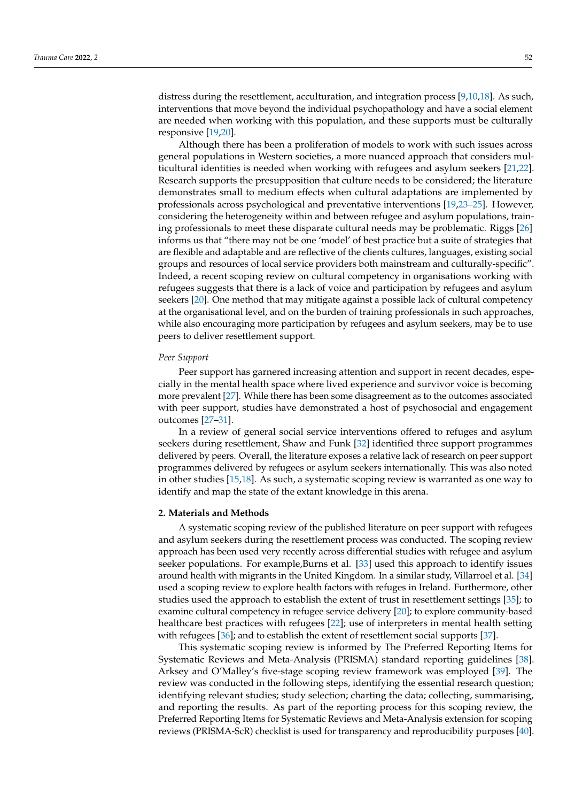distress during the resettlement, acculturation, and integration process [\[9,](#page-9-5)[10,](#page-9-6)[18\]](#page-10-5). As such, interventions that move beyond the individual psychopathology and have a social element are needed when working with this population, and these supports must be culturally responsive [\[19,](#page-10-6)[20\]](#page-10-7).

Although there has been a proliferation of models to work with such issues across general populations in Western societies, a more nuanced approach that considers multicultural identities is needed when working with refugees and asylum seekers [\[21,](#page-10-8)[22\]](#page-10-9). Research supports the presupposition that culture needs to be considered; the literature demonstrates small to medium effects when cultural adaptations are implemented by professionals across psychological and preventative interventions [\[19](#page-10-6)[,23](#page-10-10)[–25\]](#page-10-11). However, considering the heterogeneity within and between refugee and asylum populations, training professionals to meet these disparate cultural needs may be problematic. Riggs [\[26\]](#page-10-12) informs us that "there may not be one 'model' of best practice but a suite of strategies that are flexible and adaptable and are reflective of the clients cultures, languages, existing social groups and resources of local service providers both mainstream and culturally-specific". Indeed, a recent scoping review on cultural competency in organisations working with refugees suggests that there is a lack of voice and participation by refugees and asylum seekers [\[20\]](#page-10-7). One method that may mitigate against a possible lack of cultural competency at the organisational level, and on the burden of training professionals in such approaches, while also encouraging more participation by refugees and asylum seekers, may be to use peers to deliver resettlement support.

#### *Peer Support*

Peer support has garnered increasing attention and support in recent decades, especially in the mental health space where lived experience and survivor voice is becoming more prevalent [\[27\]](#page-10-13). While there has been some disagreement as to the outcomes associated with peer support, studies have demonstrated a host of psychosocial and engagement outcomes [\[27](#page-10-13)[–31\]](#page-10-14).

In a review of general social service interventions offered to refuges and asylum seekers during resettlement, Shaw and Funk [\[32\]](#page-10-15) identified three support programmes delivered by peers. Overall, the literature exposes a relative lack of research on peer support programmes delivered by refugees or asylum seekers internationally. This was also noted in other studies [\[15,](#page-10-16)[18\]](#page-10-5). As such, a systematic scoping review is warranted as one way to identify and map the state of the extant knowledge in this arena.

#### **2. Materials and Methods**

A systematic scoping review of the published literature on peer support with refugees and asylum seekers during the resettlement process was conducted. The scoping review approach has been used very recently across differential studies with refugee and asylum seeker populations. For example,Burns et al. [\[33\]](#page-10-17) used this approach to identify issues around health with migrants in the United Kingdom. In a similar study, Villarroel et al. [\[34\]](#page-10-18) used a scoping review to explore health factors with refuges in Ireland. Furthermore, other studies used the approach to establish the extent of trust in resettlement settings [\[35\]](#page-10-19); to examine cultural competency in refugee service delivery [\[20\]](#page-10-7); to explore community-based healthcare best practices with refugees [\[22\]](#page-10-9); use of interpreters in mental health setting with refugees [\[36\]](#page-11-0); and to establish the extent of resettlement social supports [\[37\]](#page-11-1).

This systematic scoping review is informed by The Preferred Reporting Items for Systematic Reviews and Meta-Analysis (PRISMA) standard reporting guidelines [\[38\]](#page-11-2). Arksey and O'Malley's five-stage scoping review framework was employed [\[39\]](#page-11-3). The review was conducted in the following steps, identifying the essential research question; identifying relevant studies; study selection; charting the data; collecting, summarising, and reporting the results. As part of the reporting process for this scoping review, the Preferred Reporting Items for Systematic Reviews and Meta-Analysis extension for scoping reviews (PRISMA-ScR) checklist is used for transparency and reproducibility purposes [\[40\]](#page-11-4).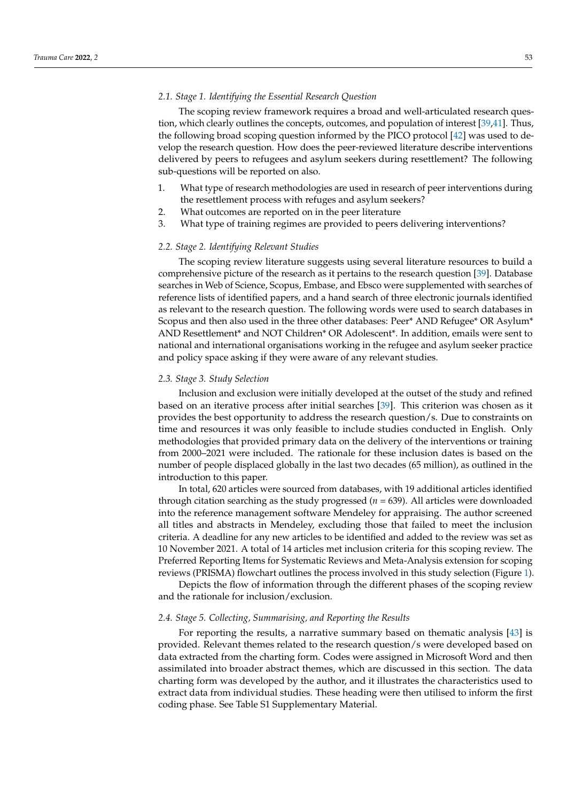#### *2.1. Stage 1. Identifying the Essential Research Question*

The scoping review framework requires a broad and well-articulated research question, which clearly outlines the concepts, outcomes, and population of interest [\[39](#page-11-3)[,41\]](#page-11-5). Thus, the following broad scoping question informed by the PICO protocol [\[42\]](#page-11-6) was used to develop the research question. How does the peer-reviewed literature describe interventions delivered by peers to refugees and asylum seekers during resettlement? The following sub-questions will be reported on also.

- 1. What type of research methodologies are used in research of peer interventions during the resettlement process with refuges and asylum seekers?
- 2. What outcomes are reported on in the peer literature
- 3. What type of training regimes are provided to peers delivering interventions?

#### *2.2. Stage 2. Identifying Relevant Studies*

The scoping review literature suggests using several literature resources to build a comprehensive picture of the research as it pertains to the research question [\[39\]](#page-11-3). Database searches in Web of Science, Scopus, Embase, and Ebsco were supplemented with searches of reference lists of identified papers, and a hand search of three electronic journals identified as relevant to the research question. The following words were used to search databases in Scopus and then also used in the three other databases: Peer\* AND Refugee\* OR Asylum\* AND Resettlement\* and NOT Children\* OR Adolescent\*. In addition, emails were sent to national and international organisations working in the refugee and asylum seeker practice and policy space asking if they were aware of any relevant studies.

#### *2.3. Stage 3. Study Selection*

Inclusion and exclusion were initially developed at the outset of the study and refined based on an iterative process after initial searches [\[39\]](#page-11-3). This criterion was chosen as it provides the best opportunity to address the research question/s. Due to constraints on time and resources it was only feasible to include studies conducted in English. Only methodologies that provided primary data on the delivery of the interventions or training from 2000–2021 were included. The rationale for these inclusion dates is based on the number of people displaced globally in the last two decades (65 million), as outlined in the introduction to this paper.

In total, 620 articles were sourced from databases, with 19 additional articles identified through citation searching as the study progressed (*n* = 639). All articles were downloaded into the reference management software Mendeley for appraising. The author screened all titles and abstracts in Mendeley, excluding those that failed to meet the inclusion criteria. A deadline for any new articles to be identified and added to the review was set as 10 November 2021. A total of 14 articles met inclusion criteria for this scoping review. The Preferred Reporting Items for Systematic Reviews and Meta-Analysis extension for scoping reviews (PRISMA) flowchart outlines the process involved in this study selection (Figure [1\)](#page-3-0).

Depicts the flow of information through the different phases of the scoping review and the rationale for inclusion/exclusion.

## *2.4. Stage 5. Collecting, Summarising, and Reporting the Results*

For reporting the results, a narrative summary based on thematic analysis [\[43\]](#page-11-7) is provided. Relevant themes related to the research question/s were developed based on data extracted from the charting form. Codes were assigned in Microsoft Word and then assimilated into broader abstract themes, which are discussed in this section. The data charting form was developed by the author, and it illustrates the characteristics used to extract data from individual studies. These heading were then utilised to inform the first coding phase. See Table S1 Supplementary Material.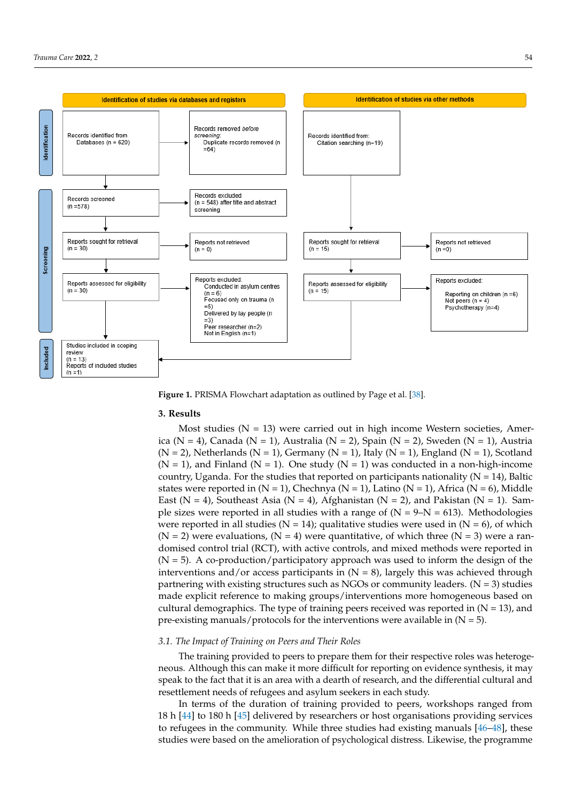<span id="page-3-0"></span>

**Figure 1.** PRISMA Flowchart adaptation as outlined by Page et al [38]. **Figure 1.** PRISMA Flowchart adaptation as outlined by Page et al. [\[38\]](#page-11-2).

## **3. Results**

 $\mathbf{D}$  is the flow of information through the different phases of the scoping review  $\mathbf{D}$ Most studies ( $N = 13$ ) were carried out in high income Western societies, Amer-*2.4. Stage 5. Collecting, Summarising, and Reporting the Results* (N = 2), Netherlands (N = 1), Germany (N = 1), Italy (N = 1), England (N = 1), Scotland  $\frac{1}{2}$  country, Uganda. For the studies that reported on participants nationality (N = 14), Baltic states were reported in (N = 1), Chechnya (N = 1), Latino (N = 1), Africa (N = 6), Middle East (N = 4), Southeast Asia (N = 4), Afghanistan (N = 2), and Pakistan (N = 1). Sample sizes were reported in all studies with a range of (N = 9–N = 613). Methodologies were reported in all studies (N = 14); qualitative studies were used in  $(N = 6)$ , of which (N = 2) were evaluations, (N = 4) were quantitative, of which three (N = 3) were a randomised control trial (RCT), with active controls, and mixed methods were reported in interventions and/or access participants in (N = 8), largely this was achieved through partnering with existing structures such as NGOs or community leaders.  $(N = 3)$  studies made explicit reference to making groups/interventions more homogeneous based on cultural demographics. The type of training peers received was reported in  $(N = 13)$ , and pre-existing manuals/protocols for the interventions were available in (N = 5). ica (N = 4), Canada (N = 1), Australia (N = 2), Spain (N = 2), Sweden (N = 1), Austria  $(N = 1)$ , and Finland  $(N = 1)$ . One study  $(N = 1)$  was conducted in a non-high-income  $(N = 5)$ . A co-production/participatory approach was used to inform the design of the

## For the studies that reported on participants nationality (N = 14), Baltic states were reported in (N = 1), Chechnya (N = 1), Latino (N = 1), Africa (N = 6), Middle East (N = 4), *3.1. The Impact of Training on Peers and Their Roles*

The training provided to peers to prepare them for their respective roles was heterogeneous. Although this can make it more difficult for reporting on evidence synthesis, it may speak to the fact that it is an area with a dearth of research, and the differential cultural and resettlement needs of refugees and asylum seekers in each study.

In terms of the duration of training provided to peers, workshops ranged from 18 h [\[44\]](#page-11-8) to 180 h [\[45\]](#page-11-9) delivered by researchers or host organisations providing services to refugees in the community. While three studies had existing manuals  $[46-48]$  $[46-48]$ , these studies were based on the amelioration of psychological distress. Likewise, the programme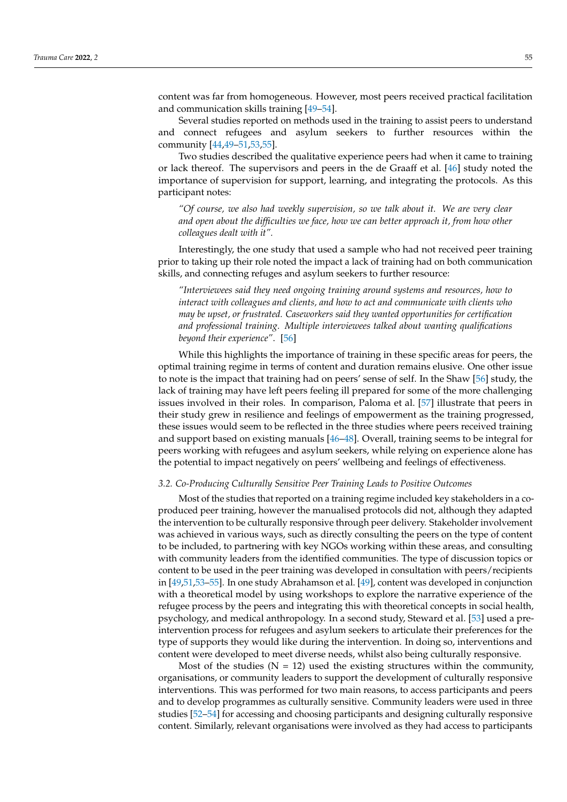content was far from homogeneous. However, most peers received practical facilitation and communication skills training [\[49](#page-11-12)[–54\]](#page-11-13).

Several studies reported on methods used in the training to assist peers to understand and connect refugees and asylum seekers to further resources within the community [\[44,](#page-11-8)[49–](#page-11-12)[51,](#page-11-14)[53](#page-11-15)[,55\]](#page-11-16).

Two studies described the qualitative experience peers had when it came to training or lack thereof. The supervisors and peers in the de Graaff et al. [\[46\]](#page-11-10) study noted the importance of supervision for support, learning, and integrating the protocols. As this participant notes:

*"Of course, we also had weekly supervision, so we talk about it. We are very clear and open about the difficulties we face, how we can better approach it, from how other colleagues dealt with it".*

Interestingly, the one study that used a sample who had not received peer training prior to taking up their role noted the impact a lack of training had on both communication skills, and connecting refuges and asylum seekers to further resource:

*"Interviewees said they need ongoing training around systems and resources, how to interact with colleagues and clients, and how to act and communicate with clients who may be upset, or frustrated. Caseworkers said they wanted opportunities for certification and professional training. Multiple interviewees talked about wanting qualifications beyond their experience"*. [\[56\]](#page-11-17)

While this highlights the importance of training in these specific areas for peers, the optimal training regime in terms of content and duration remains elusive. One other issue to note is the impact that training had on peers' sense of self. In the Shaw [\[56\]](#page-11-17) study, the lack of training may have left peers feeling ill prepared for some of the more challenging issues involved in their roles. In comparison, Paloma et al. [\[57\]](#page-11-18) illustrate that peers in their study grew in resilience and feelings of empowerment as the training progressed, these issues would seem to be reflected in the three studies where peers received training and support based on existing manuals [\[46](#page-11-10)[–48\]](#page-11-11). Overall, training seems to be integral for peers working with refugees and asylum seekers, while relying on experience alone has the potential to impact negatively on peers' wellbeing and feelings of effectiveness.

## *3.2. Co-Producing Culturally Sensitive Peer Training Leads to Positive Outcomes*

Most of the studies that reported on a training regime included key stakeholders in a coproduced peer training, however the manualised protocols did not, although they adapted the intervention to be culturally responsive through peer delivery. Stakeholder involvement was achieved in various ways, such as directly consulting the peers on the type of content to be included, to partnering with key NGOs working within these areas, and consulting with community leaders from the identified communities. The type of discussion topics or content to be used in the peer training was developed in consultation with peers/recipients in [\[49](#page-11-12)[,51,](#page-11-14)[53](#page-11-15)[–55\]](#page-11-16). In one study Abrahamson et al. [\[49\]](#page-11-12), content was developed in conjunction with a theoretical model by using workshops to explore the narrative experience of the refugee process by the peers and integrating this with theoretical concepts in social health, psychology, and medical anthropology. In a second study, Steward et al. [\[53\]](#page-11-15) used a preintervention process for refugees and asylum seekers to articulate their preferences for the type of supports they would like during the intervention. In doing so, interventions and content were developed to meet diverse needs, whilst also being culturally responsive.

Most of the studies ( $N = 12$ ) used the existing structures within the community, organisations, or community leaders to support the development of culturally responsive interventions. This was performed for two main reasons, to access participants and peers and to develop programmes as culturally sensitive. Community leaders were used in three studies [\[52–](#page-11-19)[54\]](#page-11-13) for accessing and choosing participants and designing culturally responsive content. Similarly, relevant organisations were involved as they had access to participants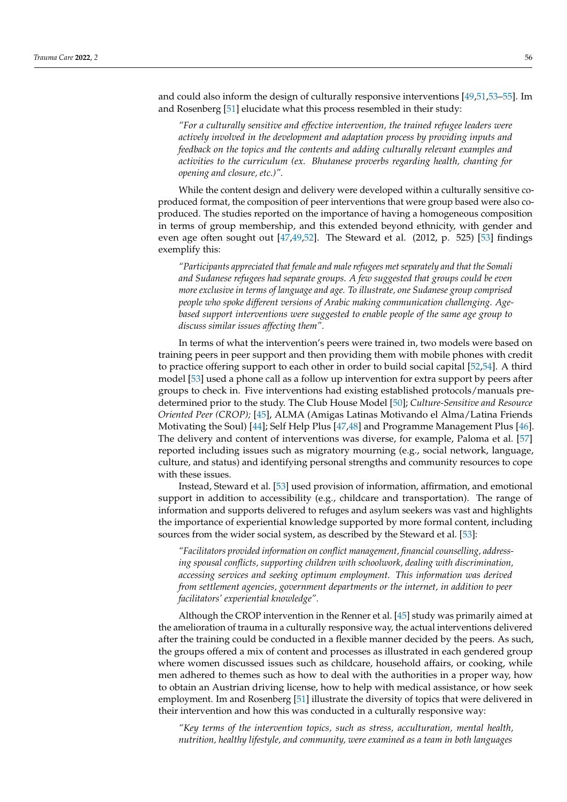and could also inform the design of culturally responsive interventions [\[49,](#page-11-12)[51,](#page-11-14)[53](#page-11-15)[–55\]](#page-11-16). Im and Rosenberg [\[51\]](#page-11-14) elucidate what this process resembled in their study:

*"For a culturally sensitive and effective intervention, the trained refugee leaders were actively involved in the development and adaptation process by providing inputs and feedback on the topics and the contents and adding culturally relevant examples and activities to the curriculum (ex. Bhutanese proverbs regarding health, chanting for opening and closure, etc.)".*

While the content design and delivery were developed within a culturally sensitive coproduced format, the composition of peer interventions that were group based were also coproduced. The studies reported on the importance of having a homogeneous composition in terms of group membership, and this extended beyond ethnicity, with gender and even age often sought out [\[47](#page-11-20)[,49](#page-11-12)[,52\]](#page-11-19). The Steward et al. (2012, p. 525) [\[53\]](#page-11-15) findings exemplify this:

*"Participants appreciated that female and male refugees met separately and that the Somali and Sudanese refugees had separate groups. A few suggested that groups could be even more exclusive in terms of language and age. To illustrate, one Sudanese group comprised people who spoke different versions of Arabic making communication challenging. Agebased support interventions were suggested to enable people of the same age group to discuss similar issues affecting them".*

In terms of what the intervention's peers were trained in, two models were based on training peers in peer support and then providing them with mobile phones with credit to practice offering support to each other in order to build social capital [\[52](#page-11-19)[,54\]](#page-11-13). A third model [\[53\]](#page-11-15) used a phone call as a follow up intervention for extra support by peers after groups to check in. Five interventions had existing established protocols/manuals predetermined prior to the study. The Club House Model [\[50\]](#page-11-21); *Culture-Sensitive and Resource Oriented Peer (CROP);* [\[45\]](#page-11-9), ALMA (Amigas Latinas Motivando el Alma/Latina Friends Motivating the Soul) [\[44\]](#page-11-8); Self Help Plus [\[47,](#page-11-20)[48\]](#page-11-11) and Programme Management Plus [\[46\]](#page-11-10). The delivery and content of interventions was diverse, for example, Paloma et al. [\[57\]](#page-11-18) reported including issues such as migratory mourning (e.g., social network, language, culture, and status) and identifying personal strengths and community resources to cope with these issues.

Instead, Steward et al. [\[53\]](#page-11-15) used provision of information, affirmation, and emotional support in addition to accessibility (e.g., childcare and transportation). The range of information and supports delivered to refuges and asylum seekers was vast and highlights the importance of experiential knowledge supported by more formal content, including sources from the wider social system, as described by the Steward et al. [\[53\]](#page-11-15):

*"Facilitators provided information on conflict management, financial counselling, addressing spousal conflicts, supporting children with schoolwork, dealing with discrimination, accessing services and seeking optimum employment. This information was derived from settlement agencies, government departments or the internet, in addition to peer facilitators' experiential knowledge".*

Although the CROP intervention in the Renner et al. [\[45\]](#page-11-9) study was primarily aimed at the amelioration of trauma in a culturally responsive way, the actual interventions delivered after the training could be conducted in a flexible manner decided by the peers. As such, the groups offered a mix of content and processes as illustrated in each gendered group where women discussed issues such as childcare, household affairs, or cooking, while men adhered to themes such as how to deal with the authorities in a proper way, how to obtain an Austrian driving license, how to help with medical assistance, or how seek employment. Im and Rosenberg [\[51\]](#page-11-14) illustrate the diversity of topics that were delivered in their intervention and how this was conducted in a culturally responsive way:

*"Key terms of the intervention topics, such as stress, acculturation, mental health, nutrition, healthy lifestyle, and community, were examined as a team in both languages*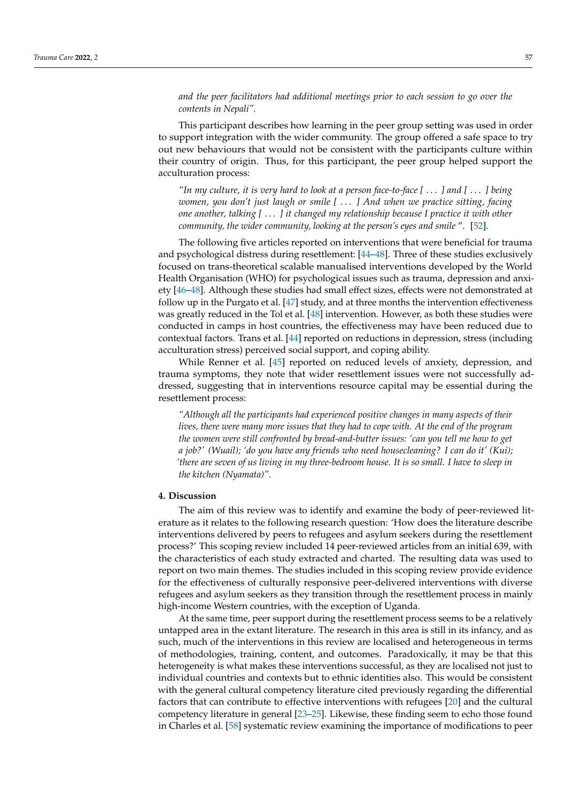*and the peer facilitators had additional meetings prior to each session to go over the contents in Nepali".*

This participant describes how learning in the peer group setting was used in order to support integration with the wider community. The group offered a safe space to try out new behaviours that would not be consistent with the participants culture within their country of origin. Thus, for this participant, the peer group helped support the acculturation process:

*"In my culture, it is very hard to look at a person face-to-face [* . . . *] and [* . . . *] being women, you don't just laugh or smile [* . . . *] And when we practice sitting, facing one another, talking [* . . . *] it changed my relationship because I practice it with other community, the wider community, looking at the person's eyes and smile* ". [\[52\]](#page-11-19).

The following five articles reported on interventions that were beneficial for trauma and psychological distress during resettlement: [\[44](#page-11-8)[–48\]](#page-11-11). Three of these studies exclusively focused on trans-theoretical scalable manualised interventions developed by the World Health Organisation (WHO) for psychological issues such as trauma, depression and anxiety [\[46](#page-11-10)[–48\]](#page-11-11). Although these studies had small effect sizes, effects were not demonstrated at follow up in the Purgato et al. [\[47\]](#page-11-20) study, and at three months the intervention effectiveness was greatly reduced in the Tol et al. [\[48\]](#page-11-11) intervention. However, as both these studies were conducted in camps in host countries, the effectiveness may have been reduced due to contextual factors. Trans et al. [\[44\]](#page-11-8) reported on reductions in depression, stress (including acculturation stress) perceived social support, and coping ability.

While Renner et al. [\[45\]](#page-11-9) reported on reduced levels of anxiety, depression, and trauma symptoms, they note that wider resettlement issues were not successfully addressed, suggesting that in interventions resource capital may be essential during the resettlement process:

*"Although all the participants had experienced positive changes in many aspects of their lives, there were many more issues that they had to cope with. At the end of the program the women were still confronted by bread-and-butter issues: 'can you tell me how to get a job?' (Wuail); 'do you have any friends who need housecleaning? I can do it' (Kui); 'there are seven of us living in my three-bedroom house. It is so small. I have to sleep in the kitchen (Nyamata)".*

#### **4. Discussion**

The aim of this review was to identify and examine the body of peer-reviewed literature as it relates to the following research question: 'How does the literature describe interventions delivered by peers to refugees and asylum seekers during the resettlement process?' This scoping review included 14 peer-reviewed articles from an initial 639, with the characteristics of each study extracted and charted. The resulting data was used to report on two main themes. The studies included in this scoping review provide evidence for the effectiveness of culturally responsive peer-delivered interventions with diverse refugees and asylum seekers as they transition through the resettlement process in mainly high-income Western countries, with the exception of Uganda.

At the same time, peer support during the resettlement process seems to be a relatively untapped area in the extant literature. The research in this area is still in its infancy, and as such, much of the interventions in this review are localised and heterogeneous in terms of methodologies, training, content, and outcomes. Paradoxically, it may be that this heterogeneity is what makes these interventions successful, as they are localised not just to individual countries and contexts but to ethnic identities also. This would be consistent with the general cultural competency literature cited previously regarding the differential factors that can contribute to effective interventions with refugees [\[20\]](#page-10-7) and the cultural competency literature in general [\[23–](#page-10-10)[25\]](#page-10-11). Likewise, these finding seem to echo those found in Charles et al. [\[58\]](#page-11-22) systematic review examining the importance of modifications to peer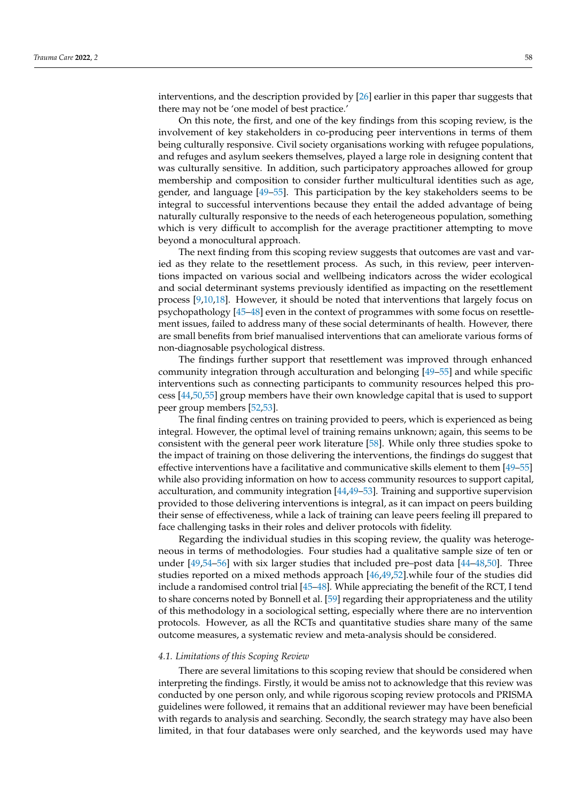interventions, and the description provided by [\[26\]](#page-10-12) earlier in this paper thar suggests that there may not be 'one model of best practice.'

On this note, the first, and one of the key findings from this scoping review, is the involvement of key stakeholders in co-producing peer interventions in terms of them being culturally responsive. Civil society organisations working with refugee populations, and refuges and asylum seekers themselves, played a large role in designing content that was culturally sensitive. In addition, such participatory approaches allowed for group membership and composition to consider further multicultural identities such as age, gender, and language [\[49](#page-11-12)[–55\]](#page-11-16). This participation by the key stakeholders seems to be integral to successful interventions because they entail the added advantage of being naturally culturally responsive to the needs of each heterogeneous population, something which is very difficult to accomplish for the average practitioner attempting to move beyond a monocultural approach.

The next finding from this scoping review suggests that outcomes are vast and varied as they relate to the resettlement process. As such, in this review, peer interventions impacted on various social and wellbeing indicators across the wider ecological and social determinant systems previously identified as impacting on the resettlement process [\[9,](#page-9-5)[10](#page-9-6)[,18\]](#page-10-5). However, it should be noted that interventions that largely focus on psychopathology [\[45](#page-11-9)[–48\]](#page-11-11) even in the context of programmes with some focus on resettlement issues, failed to address many of these social determinants of health. However, there are small benefits from brief manualised interventions that can ameliorate various forms of non-diagnosable psychological distress.

The findings further support that resettlement was improved through enhanced community integration through acculturation and belonging [\[49](#page-11-12)[–55\]](#page-11-16) and while specific interventions such as connecting participants to community resources helped this process [\[44,](#page-11-8)[50,](#page-11-21)[55\]](#page-11-16) group members have their own knowledge capital that is used to support peer group members [\[52](#page-11-19)[,53\]](#page-11-15).

The final finding centres on training provided to peers, which is experienced as being integral. However, the optimal level of training remains unknown; again, this seems to be consistent with the general peer work literature [\[58\]](#page-11-22). While only three studies spoke to the impact of training on those delivering the interventions, the findings do suggest that effective interventions have a facilitative and communicative skills element to them [\[49](#page-11-12)[–55\]](#page-11-16) while also providing information on how to access community resources to support capital, acculturation, and community integration [\[44,](#page-11-8)[49–](#page-11-12)[53\]](#page-11-15). Training and supportive supervision provided to those delivering interventions is integral, as it can impact on peers building their sense of effectiveness, while a lack of training can leave peers feeling ill prepared to face challenging tasks in their roles and deliver protocols with fidelity.

Regarding the individual studies in this scoping review, the quality was heterogeneous in terms of methodologies. Four studies had a qualitative sample size of ten or under [\[49](#page-11-12)[,54–](#page-11-13)[56\]](#page-11-17) with six larger studies that included pre–post data [\[44](#page-11-8)[–48,](#page-11-11)[50\]](#page-11-21). Three studies reported on a mixed methods approach [\[46](#page-11-10)[,49](#page-11-12)[,52\]](#page-11-19).while four of the studies did include a randomised control trial [\[45](#page-11-9)[–48\]](#page-11-11). While appreciating the benefit of the RCT, I tend to share concerns noted by Bonnell et al. [\[59\]](#page-11-23) regarding their appropriateness and the utility of this methodology in a sociological setting, especially where there are no intervention protocols. However, as all the RCTs and quantitative studies share many of the same outcome measures, a systematic review and meta-analysis should be considered.

#### *4.1. Limitations of this Scoping Review*

There are several limitations to this scoping review that should be considered when interpreting the findings. Firstly, it would be amiss not to acknowledge that this review was conducted by one person only, and while rigorous scoping review protocols and PRISMA guidelines were followed, it remains that an additional reviewer may have been beneficial with regards to analysis and searching. Secondly, the search strategy may have also been limited, in that four databases were only searched, and the keywords used may have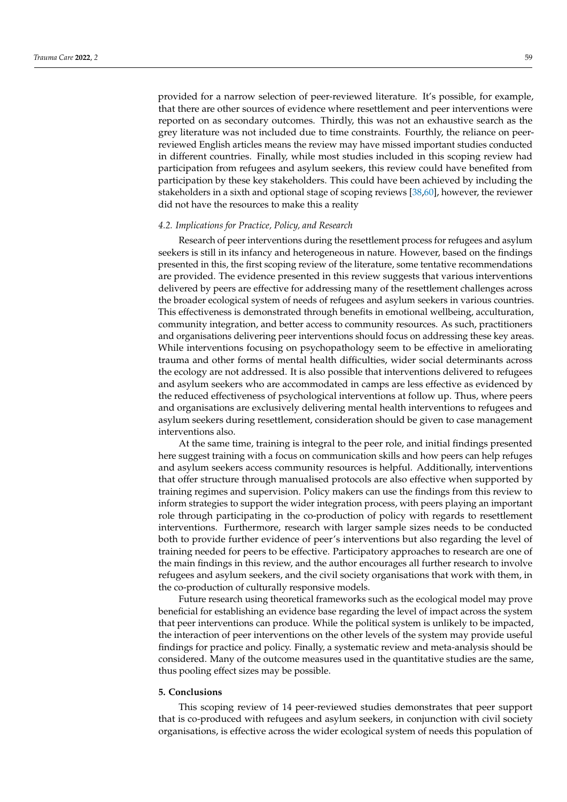provided for a narrow selection of peer-reviewed literature. It's possible, for example, that there are other sources of evidence where resettlement and peer interventions were reported on as secondary outcomes. Thirdly, this was not an exhaustive search as the grey literature was not included due to time constraints. Fourthly, the reliance on peerreviewed English articles means the review may have missed important studies conducted in different countries. Finally, while most studies included in this scoping review had participation from refugees and asylum seekers, this review could have benefited from participation by these key stakeholders. This could have been achieved by including the stakeholders in a sixth and optional stage of scoping reviews [\[38](#page-11-2)[,60\]](#page-11-24), however, the reviewer did not have the resources to make this a reality

#### *4.2. Implications for Practice, Policy, and Research*

Research of peer interventions during the resettlement process for refugees and asylum seekers is still in its infancy and heterogeneous in nature. However, based on the findings presented in this, the first scoping review of the literature, some tentative recommendations are provided. The evidence presented in this review suggests that various interventions delivered by peers are effective for addressing many of the resettlement challenges across the broader ecological system of needs of refugees and asylum seekers in various countries. This effectiveness is demonstrated through benefits in emotional wellbeing, acculturation, community integration, and better access to community resources. As such, practitioners and organisations delivering peer interventions should focus on addressing these key areas. While interventions focusing on psychopathology seem to be effective in ameliorating trauma and other forms of mental health difficulties, wider social determinants across the ecology are not addressed. It is also possible that interventions delivered to refugees and asylum seekers who are accommodated in camps are less effective as evidenced by the reduced effectiveness of psychological interventions at follow up. Thus, where peers and organisations are exclusively delivering mental health interventions to refugees and asylum seekers during resettlement, consideration should be given to case management interventions also.

At the same time, training is integral to the peer role, and initial findings presented here suggest training with a focus on communication skills and how peers can help refuges and asylum seekers access community resources is helpful. Additionally, interventions that offer structure through manualised protocols are also effective when supported by training regimes and supervision. Policy makers can use the findings from this review to inform strategies to support the wider integration process, with peers playing an important role through participating in the co-production of policy with regards to resettlement interventions. Furthermore, research with larger sample sizes needs to be conducted both to provide further evidence of peer's interventions but also regarding the level of training needed for peers to be effective. Participatory approaches to research are one of the main findings in this review, and the author encourages all further research to involve refugees and asylum seekers, and the civil society organisations that work with them, in the co-production of culturally responsive models.

Future research using theoretical frameworks such as the ecological model may prove beneficial for establishing an evidence base regarding the level of impact across the system that peer interventions can produce. While the political system is unlikely to be impacted, the interaction of peer interventions on the other levels of the system may provide useful findings for practice and policy. Finally, a systematic review and meta-analysis should be considered. Many of the outcome measures used in the quantitative studies are the same, thus pooling effect sizes may be possible.

## **5. Conclusions**

This scoping review of 14 peer-reviewed studies demonstrates that peer support that is co-produced with refugees and asylum seekers, in conjunction with civil society organisations, is effective across the wider ecological system of needs this population of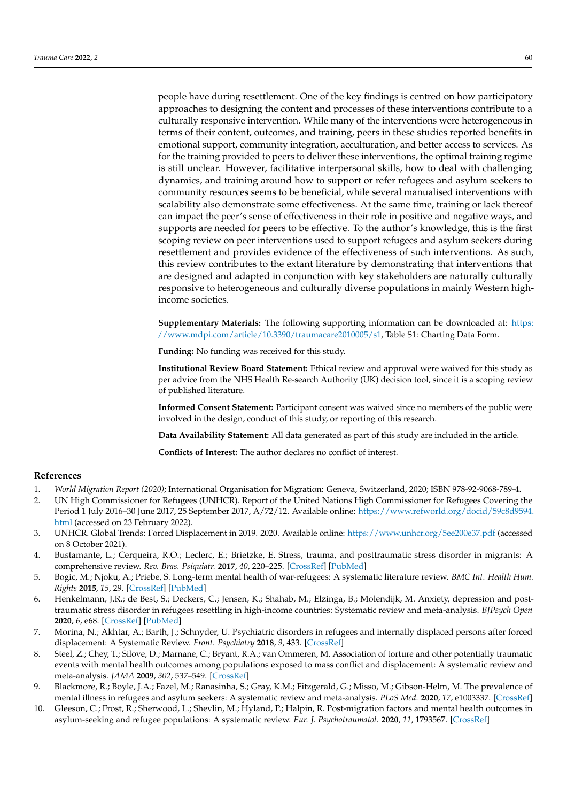people have during resettlement. One of the key findings is centred on how participatory approaches to designing the content and processes of these interventions contribute to a culturally responsive intervention. While many of the interventions were heterogeneous in terms of their content, outcomes, and training, peers in these studies reported benefits in emotional support, community integration, acculturation, and better access to services. As for the training provided to peers to deliver these interventions, the optimal training regime is still unclear. However, facilitative interpersonal skills, how to deal with challenging dynamics, and training around how to support or refer refugees and asylum seekers to community resources seems to be beneficial, while several manualised interventions with scalability also demonstrate some effectiveness. At the same time, training or lack thereof can impact the peer's sense of effectiveness in their role in positive and negative ways, and supports are needed for peers to be effective. To the author's knowledge, this is the first scoping review on peer interventions used to support refugees and asylum seekers during resettlement and provides evidence of the effectiveness of such interventions. As such, this review contributes to the extant literature by demonstrating that interventions that are designed and adapted in conjunction with key stakeholders are naturally culturally responsive to heterogeneous and culturally diverse populations in mainly Western highincome societies.

**Supplementary Materials:** The following supporting information can be downloaded at: [https:](https://www.mdpi.com/article/10.3390/traumacare2010005/s1) [//www.mdpi.com/article/10.3390/traumacare2010005/s1,](https://www.mdpi.com/article/10.3390/traumacare2010005/s1) Table S1: Charting Data Form.

**Funding:** No funding was received for this study.

**Institutional Review Board Statement:** Ethical review and approval were waived for this study as per advice from the NHS Health Re-search Authority (UK) decision tool, since it is a scoping review of published literature.

**Informed Consent Statement:** Participant consent was waived since no members of the public were involved in the design, conduct of this study, or reporting of this research.

**Data Availability Statement:** All data generated as part of this study are included in the article.

**Conflicts of Interest:** The author declares no conflict of interest.

## **References**

- <span id="page-9-0"></span>1. *World Migration Report (2020)*; International Organisation for Migration: Geneva, Switzerland, 2020; ISBN 978-92-9068-789-4.
- <span id="page-9-1"></span>2. UN High Commissioner for Refugees (UNHCR). Report of the United Nations High Commissioner for Refugees Covering the Period 1 July 2016–30 June 2017, 25 September 2017, A/72/12. Available online: [https://www.refworld.org/docid/59c8d9594.](https://www.refworld.org/docid/59c8d9594.html) [html](https://www.refworld.org/docid/59c8d9594.html) (accessed on 23 February 2022).
- <span id="page-9-2"></span>3. UNHCR. Global Trends: Forced Displacement in 2019. 2020. Available online: <https://www.unhcr.org/5ee200e37.pdf> (accessed on 8 October 2021).
- <span id="page-9-3"></span>4. Bustamante, L.; Cerqueira, R.O.; Leclerc, E.; Brietzke, E. Stress, trauma, and posttraumatic stress disorder in migrants: A comprehensive review. *Rev. Bras. Psiquiatr.* **2017**, *40*, 220–225. [\[CrossRef\]](http://doi.org/10.1590/1516-4446-2017-2290) [\[PubMed\]](http://www.ncbi.nlm.nih.gov/pubmed/29069252)
- 5. Bogic, M.; Njoku, A.; Priebe, S. Long-term mental health of war-refugees: A systematic literature review. *BMC Int. Health Hum. Rights* **2015**, *15*, 29. [\[CrossRef\]](http://doi.org/10.1186/s12914-015-0064-9) [\[PubMed\]](http://www.ncbi.nlm.nih.gov/pubmed/26510473)
- 6. Henkelmann, J.R.; de Best, S.; Deckers, C.; Jensen, K.; Shahab, M.; Elzinga, B.; Molendijk, M. Anxiety, depression and posttraumatic stress disorder in refugees resettling in high-income countries: Systematic review and meta-analysis. *BJPsych Open* **2020**, *6*, e68. [\[CrossRef\]](http://doi.org/10.1192/bjo.2020.54) [\[PubMed\]](http://www.ncbi.nlm.nih.gov/pubmed/32611475)
- 7. Morina, N.; Akhtar, A.; Barth, J.; Schnyder, U. Psychiatric disorders in refugees and internally displaced persons after forced displacement: A Systematic Review. *Front. Psychiatry* **2018**, *9*, 433. [\[CrossRef\]](http://doi.org/10.3389/fpsyt.2018.00433)
- <span id="page-9-4"></span>8. Steel, Z.; Chey, T.; Silove, D.; Marnane, C.; Bryant, R.A.; van Ommeren, M. Association of torture and other potentially traumatic events with mental health outcomes among populations exposed to mass conflict and displacement: A systematic review and meta-analysis. *JAMA* **2009**, *302*, 537–549. [\[CrossRef\]](http://doi.org/10.1001/jama.2009.1132)
- <span id="page-9-5"></span>9. Blackmore, R.; Boyle, J.A.; Fazel, M.; Ranasinha, S.; Gray, K.M.; Fitzgerald, G.; Misso, M.; Gibson-Helm, M. The prevalence of mental illness in refugees and asylum seekers: A systematic review and meta-analysis. *PLoS Med.* **2020**, *17*, e1003337. [\[CrossRef\]](http://doi.org/10.1371/journal.pmed.1003337)
- <span id="page-9-6"></span>10. Gleeson, C.; Frost, R.; Sherwood, L.; Shevlin, M.; Hyland, P.; Halpin, R. Post-migration factors and mental health outcomes in asylum-seeking and refugee populations: A systematic review. *Eur. J. Psychotraumatol.* **2020**, *11*, 1793567. [\[CrossRef\]](http://doi.org/10.1080/20008198.2020.1793567)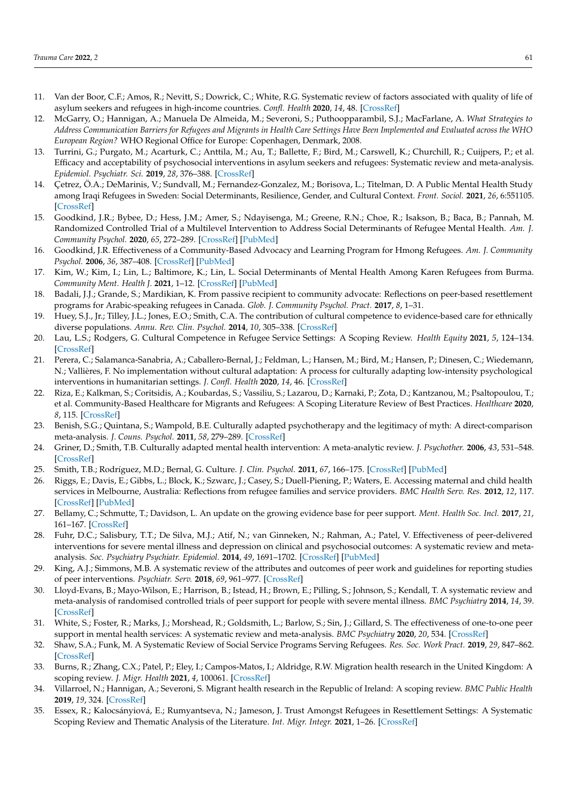- <span id="page-10-0"></span>11. Van der Boor, C.F.; Amos, R.; Nevitt, S.; Dowrick, C.; White, R.G. Systematic review of factors associated with quality of life of asylum seekers and refugees in high-income countries. *Confl. Health* **2020**, *14*, 48. [\[CrossRef\]](http://doi.org/10.1186/s13031-020-00292-y)
- <span id="page-10-1"></span>12. McGarry, O.; Hannigan, A.; Manuela De Almeida, M.; Severoni, S.; Puthoopparambil, S.J.; MacFarlane, A. *What Strategies to Address Communication Barriers for Refugees and Migrants in Health Care Settings Have Been Implemented and Evaluated across the WHO European Region?* WHO Regional Office for Europe: Copenhagen, Denmark, 2008.
- <span id="page-10-2"></span>13. Turrini, G.; Purgato, M.; Acarturk, C.; Anttila, M.; Au, T.; Ballette, F.; Bird, M.; Carswell, K.; Churchill, R.; Cuijpers, P.; et al. Efficacy and acceptability of psychosocial interventions in asylum seekers and refugees: Systematic review and meta-analysis. *Epidemiol. Psychiatr. Sci.* **2019**, *28*, 376–388. [\[CrossRef\]](http://doi.org/10.1017/S2045796019000027)
- <span id="page-10-3"></span>14. Çetrez, Ö.A.; DeMarinis, V.; Sundvall, M.; Fernandez-Gonzalez, M.; Borisova, L.; Titelman, D. A Public Mental Health Study among Iraqi Refugees in Sweden: Social Determinants, Resilience, Gender, and Cultural Context. *Front. Sociol.* **2021**, *26*, 6:551105. [\[CrossRef\]](http://doi.org/10.3389/fsoc.2021.551105)
- <span id="page-10-16"></span>15. Goodkind, J.R.; Bybee, D.; Hess, J.M.; Amer, S.; Ndayisenga, M.; Greene, R.N.; Choe, R.; Isakson, B.; Baca, B.; Pannah, M. Randomized Controlled Trial of a Multilevel Intervention to Address Social Determinants of Refugee Mental Health. *Am. J. Community Psychol.* **2020**, *65*, 272–289. [\[CrossRef\]](http://doi.org/10.1002/ajcp.12418) [\[PubMed\]](http://www.ncbi.nlm.nih.gov/pubmed/32067251)
- 16. Goodkind, J.R. Effectiveness of a Community-Based Advocacy and Learning Program for Hmong Refugees. *Am. J. Community Psychol.* **2006**, *36*, 387–408. [\[CrossRef\]](http://doi.org/10.1007/s10464-005-8633-z) [\[PubMed\]](http://www.ncbi.nlm.nih.gov/pubmed/16389507)
- <span id="page-10-4"></span>17. Kim, W.; Kim, I.; Lin, L.; Baltimore, K.; Lin, L. Social Determinants of Mental Health Among Karen Refugees from Burma. *Community Ment. Health J.* **2021**, 1–12. [\[CrossRef\]](http://doi.org/10.1007/s10597-021-00880-z) [\[PubMed\]](http://www.ncbi.nlm.nih.gov/pubmed/34417911)
- <span id="page-10-5"></span>18. Badali, J.J.; Grande, S.; Mardikian, K. From passive recipient to community advocate: Reflections on peer-based resettlement programs for Arabic-speaking refugees in Canada. *Glob. J. Community Psychol. Pract.* **2017**, *8*, 1–31.
- <span id="page-10-6"></span>19. Huey, S.J., Jr.; Tilley, J.L.; Jones, E.O.; Smith, C.A. The contribution of cultural competence to evidence-based care for ethnically diverse populations. *Annu. Rev. Clin. Psychol.* **2014**, *10*, 305–338. [\[CrossRef\]](http://doi.org/10.1146/annurev-clinpsy-032813-153729)
- <span id="page-10-7"></span>20. Lau, L.S.; Rodgers, G. Cultural Competence in Refugee Service Settings: A Scoping Review. *Health Equity* **2021**, *5*, 124–134. [\[CrossRef\]](http://doi.org/10.1089/heq.2020.0094)
- <span id="page-10-8"></span>21. Perera, C.; Salamanca-Sanabria, A.; Caballero-Bernal, J.; Feldman, L.; Hansen, M.; Bird, M.; Hansen, P.; Dinesen, C.; Wiedemann, N.; Vallières, F. No implementation without cultural adaptation: A process for culturally adapting low-intensity psychological interventions in humanitarian settings. *J. Confl. Health* **2020**, *14*, 46. [\[CrossRef\]](http://doi.org/10.1186/s13031-020-00290-0)
- <span id="page-10-9"></span>22. Riza, E.; Kalkman, S.; Coritsidis, A.; Koubardas, S.; Vassiliu, S.; Lazarou, D.; Karnaki, P.; Zota, D.; Kantzanou, M.; Psaltopoulou, T.; et al. Community-Based Healthcare for Migrants and Refugees: A Scoping Literature Review of Best Practices. *Healthcare* **2020**, *8*, 115. [\[CrossRef\]](http://doi.org/10.3390/healthcare8020115)
- <span id="page-10-10"></span>23. Benish, S.G.; Quintana, S.; Wampold, B.E. Culturally adapted psychotherapy and the legitimacy of myth: A direct-comparison meta-analysis. *J. Couns. Psychol.* **2011**, *58*, 279–289. [\[CrossRef\]](http://doi.org/10.1037/a0023626)
- 24. Griner, D.; Smith, T.B. Culturally adapted mental health intervention: A meta-analytic review. *J. Psychother.* **2006**, *43*, 531–548. [\[CrossRef\]](http://doi.org/10.1037/0033-3204.43.4.531)
- <span id="page-10-11"></span>25. Smith, T.B.; Rodríguez, M.D.; Bernal, G. Culture. *J. Clin. Psychol.* **2011**, *67*, 166–175. [\[CrossRef\]](http://doi.org/10.1002/jclp.20757) [\[PubMed\]](http://www.ncbi.nlm.nih.gov/pubmed/21105069)
- <span id="page-10-12"></span>26. Riggs, E.; Davis, E.; Gibbs, L.; Block, K.; Szwarc, J.; Casey, S.; Duell-Piening, P.; Waters, E. Accessing maternal and child health services in Melbourne, Australia: Reflections from refugee families and service providers. *BMC Health Serv. Res.* **2012**, *12*, 117. [\[CrossRef\]](http://doi.org/10.1186/1472-6963-12-117) [\[PubMed\]](http://www.ncbi.nlm.nih.gov/pubmed/22587587)
- <span id="page-10-13"></span>27. Bellamy, C.; Schmutte, T.; Davidson, L. An update on the growing evidence base for peer support. *Ment. Health Soc. Incl.* **2017**, *21*, 161–167. [\[CrossRef\]](http://doi.org/10.1108/MHSI-03-2017-0014)
- 28. Fuhr, D.C.; Salisbury, T.T.; De Silva, M.J.; Atif, N.; van Ginneken, N.; Rahman, A.; Patel, V. Effectiveness of peer-delivered interventions for severe mental illness and depression on clinical and psychosocial outcomes: A systematic review and metaanalysis. *Soc. Psychiatry Psychiatr. Epidemiol.* **2014**, *49*, 1691–1702. [\[CrossRef\]](http://doi.org/10.1007/s00127-014-0857-5) [\[PubMed\]](http://www.ncbi.nlm.nih.gov/pubmed/24632847)
- 29. King, A.J.; Simmons, M.B. A systematic review of the attributes and outcomes of peer work and guidelines for reporting studies of peer interventions. *Psychiatr. Serv.* **2018**, *69*, 961–977. [\[CrossRef\]](http://doi.org/10.1176/appi.ps.201700564)
- 30. Lloyd-Evans, B.; Mayo-Wilson, E.; Harrison, B.; Istead, H.; Brown, E.; Pilling, S.; Johnson, S.; Kendall, T. A systematic review and meta-analysis of randomised controlled trials of peer support for people with severe mental illness. *BMC Psychiatry* **2014**, *14*, 39. [\[CrossRef\]](http://doi.org/10.1186/1471-244X-14-39)
- <span id="page-10-14"></span>31. White, S.; Foster, R.; Marks, J.; Morshead, R.; Goldsmith, L.; Barlow, S.; Sin, J.; Gillard, S. The effectiveness of one-to-one peer support in mental health services: A systematic review and meta-analysis. *BMC Psychiatry* **2020**, *20*, 534. [\[CrossRef\]](http://doi.org/10.1186/s12888-020-02923-3)
- <span id="page-10-15"></span>32. Shaw, S.A.; Funk, M. A Systematic Review of Social Service Programs Serving Refugees. *Res. Soc. Work Pract.* **2019**, *29*, 847–862. [\[CrossRef\]](http://doi.org/10.1177/1049731518824405)
- <span id="page-10-17"></span>33. Burns, R.; Zhang, C.X.; Patel, P.; Eley, I.; Campos-Matos, I.; Aldridge, R.W. Migration health research in the United Kingdom: A scoping review. *J. Migr. Health* **2021**, *4*, 100061. [\[CrossRef\]](http://doi.org/10.1016/j.jmh.2021.100061)
- <span id="page-10-18"></span>34. Villarroel, N.; Hannigan, A.; Severoni, S. Migrant health research in the Republic of Ireland: A scoping review. *BMC Public Health* **2019**, *19*, 324. [\[CrossRef\]](http://doi.org/10.1186/s12889-019-6651-2)
- <span id="page-10-19"></span>35. Essex, R.; Kalocsányiová, E.; Rumyantseva, N.; Jameson, J. Trust Amongst Refugees in Resettlement Settings: A Systematic Scoping Review and Thematic Analysis of the Literature. *Int. Migr. Integr.* **2021**, 1–26. [\[CrossRef\]](http://doi.org/10.1007/s12134-021-00850-0)